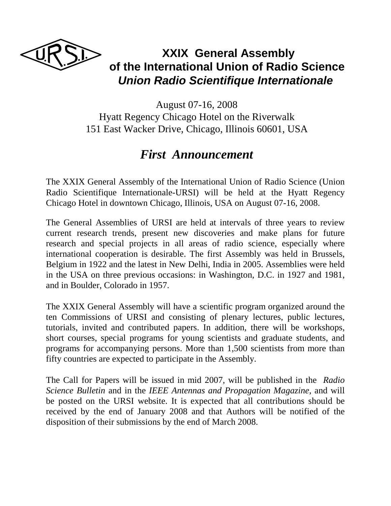

# **XXIX General Assembly of the International Union of Radio Science**   *Union Radio Scientifique Internationale*

August 07-16, 2008 Hyatt Regency Chicago Hotel on the Riverwalk 151 East Wacker Drive, Chicago, Illinois 60601, USA

## *First Announcement*

The XXIX General Assembly of the International Union of Radio Science (Union Radio Scientifique Internationale-URSI) will be held at the Hyatt Regency Chicago Hotel in downtown Chicago, Illinois, USA on August 07-16, 2008.

The General Assemblies of URSI are held at intervals of three years to review current research trends, present new discoveries and make plans for future research and special projects in all areas of radio science, especially where international cooperation is desirable. The first Assembly was held in Brussels, Belgium in 1922 and the latest in New Delhi, India in 2005. Assemblies were held in the USA on three previous occasions: in Washington, D.C. in 1927 and 1981, and in Boulder, Colorado in 1957.

The XXIX General Assembly will have a scientific program organized around the ten Commissions of URSI and consisting of plenary lectures, public lectures, tutorials, invited and contributed papers. In addition, there will be workshops, short courses, special programs for young scientists and graduate students, and programs for accompanying persons. More than 1,500 scientists from more than fifty countries are expected to participate in the Assembly.

The Call for Papers will be issued in mid 2007, will be published in the *Radio Science Bulletin* and in the *IEEE Antennas and Propagation Magazine*, and will be posted on the URSI website. It is expected that all contributions should be received by the end of January 2008 and that Authors will be notified of the disposition of their submissions by the end of March 2008.